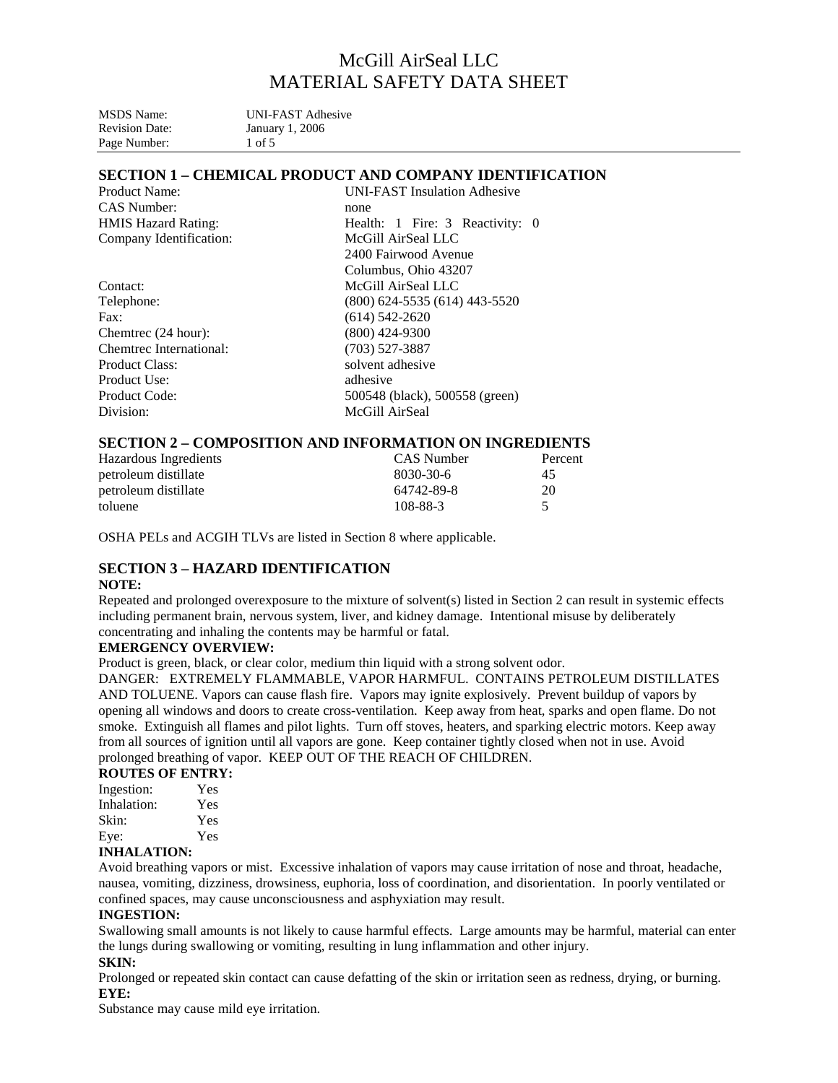| MSDS Name:            | <b>UNI-FAST Adhesive</b> |
|-----------------------|--------------------------|
| <b>Revision Date:</b> | January 1, 2006          |
| Page Number:          | 1 of 5                   |

## **SECTION 1 – CHEMICAL PRODUCT AND COMPANY IDENTIFICATION**

| Product Name:<br><b>UNI-FAST</b> Insulation Adhesive |                                 |  |  |  |
|------------------------------------------------------|---------------------------------|--|--|--|
| CAS Number:                                          | none                            |  |  |  |
| <b>HMIS Hazard Rating:</b>                           | Health: 1 Fire: 3 Reactivity: 0 |  |  |  |
| Company Identification:<br>McGill AirSeal LLC        |                                 |  |  |  |
|                                                      | 2400 Fairwood Avenue            |  |  |  |
|                                                      | Columbus, Ohio 43207            |  |  |  |
| Contact:                                             | McGill AirSeal LLC              |  |  |  |
| Telephone:                                           | (800) 624-5535 (614) 443-5520   |  |  |  |
| $\text{Fax}:$                                        | $(614) 542 - 2620$              |  |  |  |
| Chemtrec (24 hour):                                  | $(800)$ 424-9300                |  |  |  |
| Chemtrec International:                              | $(703)$ 527-3887                |  |  |  |
| <b>Product Class:</b>                                | solvent adhesive                |  |  |  |
| Product Use:                                         | adhesive                        |  |  |  |
| Product Code:                                        | 500548 (black), 500558 (green)  |  |  |  |
| Division:                                            | McGill AirSeal                  |  |  |  |
|                                                      |                                 |  |  |  |

## **SECTION 2 – COMPOSITION AND INFORMATION ON INGREDIENTS**

| Hazardous Ingredients | CAS Number | Percent |
|-----------------------|------------|---------|
| petroleum distillate  | 8030-30-6  | 45      |
| petroleum distillate  | 64742-89-8 | 20      |
| toluene               | 108-88-3   |         |

OSHA PELs and ACGIH TLVs are listed in Section 8 where applicable.

# **SECTION 3 – HAZARD IDENTIFICATION**

#### **NOTE:**

Repeated and prolonged overexposure to the mixture of solvent(s) listed in Section 2 can result in systemic effects including permanent brain, nervous system, liver, and kidney damage. Intentional misuse by deliberately concentrating and inhaling the contents may be harmful or fatal.

## **EMERGENCY OVERVIEW:**

Product is green, black, or clear color, medium thin liquid with a strong solvent odor.

DANGER: EXTREMELY FLAMMABLE, VAPOR HARMFUL. CONTAINS PETROLEUM DISTILLATES AND TOLUENE. Vapors can cause flash fire. Vapors may ignite explosively. Prevent buildup of vapors by opening all windows and doors to create cross-ventilation. Keep away from heat, sparks and open flame. Do not smoke. Extinguish all flames and pilot lights. Turn off stoves, heaters, and sparking electric motors. Keep away from all sources of ignition until all vapors are gone. Keep container tightly closed when not in use. Avoid prolonged breathing of vapor. KEEP OUT OF THE REACH OF CHILDREN.

#### **ROUTES OF ENTRY:**

| Ingestion:        | Yes |  |  |
|-------------------|-----|--|--|
| Inhalation:       | Yes |  |  |
| Skin:             | Yes |  |  |
| Eye:              | Yes |  |  |
| INIII A I A TIAN. |     |  |  |

#### **INHALATION:**

Avoid breathing vapors or mist. Excessive inhalation of vapors may cause irritation of nose and throat, headache, nausea, vomiting, dizziness, drowsiness, euphoria, loss of coordination, and disorientation. In poorly ventilated or confined spaces, may cause unconsciousness and asphyxiation may result.

#### **INGESTION:**

Swallowing small amounts is not likely to cause harmful effects. Large amounts may be harmful, material can enter the lungs during swallowing or vomiting, resulting in lung inflammation and other injury.

# **SKIN:**

Prolonged or repeated skin contact can cause defatting of the skin or irritation seen as redness, drying, or burning. **EYE:** 

Substance may cause mild eye irritation.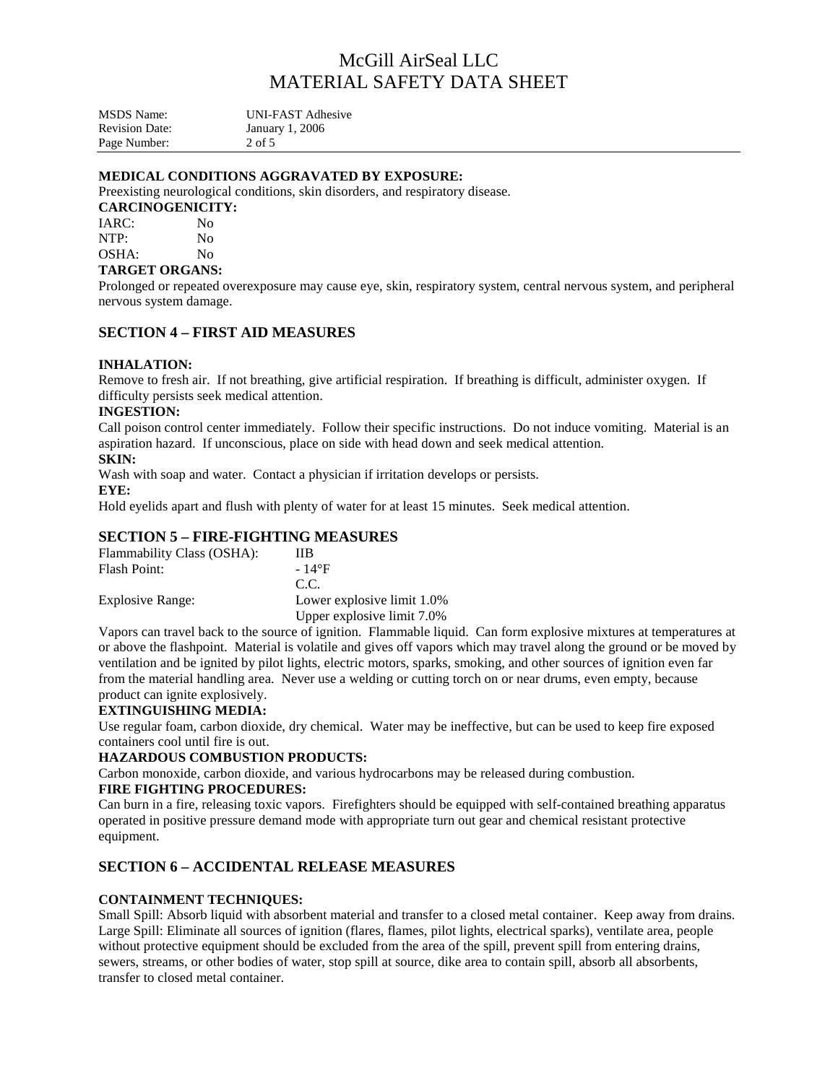MSDS Name: UNI-FAST Adhesive Revision Date: January 1, 2006<br>Page Number: 2 of 5 Page Number:

## **MEDICAL CONDITIONS AGGRAVATED BY EXPOSURE:**

Preexisting neurological conditions, skin disorders, and respiratory disease.

#### **CARCINOGENICITY:**

IARC: No NTP: No OSHA: No

## **TARGET ORGANS:**

Prolonged or repeated overexposure may cause eye, skin, respiratory system, central nervous system, and peripheral nervous system damage.

## **SECTION 4 – FIRST AID MEASURES**

#### **INHALATION:**

Remove to fresh air. If not breathing, give artificial respiration. If breathing is difficult, administer oxygen. If difficulty persists seek medical attention.

#### **INGESTION:**

Call poison control center immediately. Follow their specific instructions. Do not induce vomiting. Material is an aspiration hazard. If unconscious, place on side with head down and seek medical attention.

#### **SKIN:**

Wash with soap and water. Contact a physician if irritation develops or persists.

#### **EYE:**

Hold eyelids apart and flush with plenty of water for at least 15 minutes. Seek medical attention.

## **SECTION 5 – FIRE-FIGHTING MEASURES**

| Flammability Class (OSHA): | ШB.                        |
|----------------------------|----------------------------|
| <b>Flash Point:</b>        | $-14\text{°F}$             |
|                            | C.C.                       |
| Explosive Range:           | Lower explosive limit 1.0% |
|                            | Upper explosive limit 7.0% |

Vapors can travel back to the source of ignition. Flammable liquid. Can form explosive mixtures at temperatures at or above the flashpoint. Material is volatile and gives off vapors which may travel along the ground or be moved by ventilation and be ignited by pilot lights, electric motors, sparks, smoking, and other sources of ignition even far from the material handling area. Never use a welding or cutting torch on or near drums, even empty, because product can ignite explosively.

## **EXTINGUISHING MEDIA:**

Use regular foam, carbon dioxide, dry chemical. Water may be ineffective, but can be used to keep fire exposed containers cool until fire is out.

#### **HAZARDOUS COMBUSTION PRODUCTS:**

Carbon monoxide, carbon dioxide, and various hydrocarbons may be released during combustion.

#### **FIRE FIGHTING PROCEDURES:**

Can burn in a fire, releasing toxic vapors. Firefighters should be equipped with self-contained breathing apparatus operated in positive pressure demand mode with appropriate turn out gear and chemical resistant protective equipment.

## **SECTION 6 – ACCIDENTAL RELEASE MEASURES**

## **CONTAINMENT TECHNIQUES:**

Small Spill: Absorb liquid with absorbent material and transfer to a closed metal container. Keep away from drains. Large Spill: Eliminate all sources of ignition (flares, flames, pilot lights, electrical sparks), ventilate area, people without protective equipment should be excluded from the area of the spill, prevent spill from entering drains, sewers, streams, or other bodies of water, stop spill at source, dike area to contain spill, absorb all absorbents, transfer to closed metal container.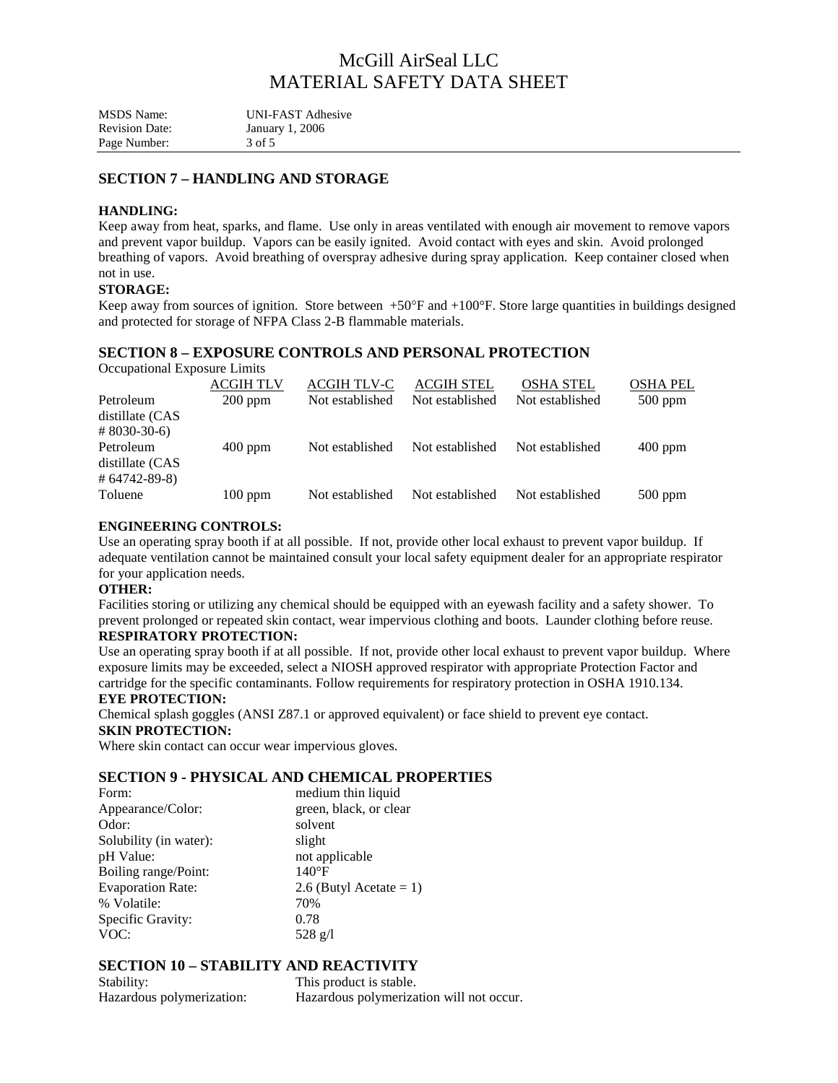| <b>MSDS</b> Name:     | <b>UNI-FAST Adhesive</b> |
|-----------------------|--------------------------|
| <b>Revision Date:</b> | January 1, 2006          |
| Page Number:          | 3 of 5                   |

## **SECTION 7 – HANDLING AND STORAGE**

#### **HANDLING:**

Keep away from heat, sparks, and flame. Use only in areas ventilated with enough air movement to remove vapors and prevent vapor buildup. Vapors can be easily ignited. Avoid contact with eyes and skin. Avoid prolonged breathing of vapors. Avoid breathing of overspray adhesive during spray application. Keep container closed when not in use.

### **STORAGE:**

Keep away from sources of ignition. Store between  $+50^{\circ}$ F and  $+100^{\circ}$ F. Store large quantities in buildings designed and protected for storage of NFPA Class 2-B flammable materials.

## **SECTION 8 – EXPOSURE CONTROLS AND PERSONAL PROTECTION**

Occupational Exposure Limits

|                              | <b>ACGIH TLV</b> | ACGIH TLV-C     | <b>ACGIH STEL</b> | <b>OSHA STEL</b> | <b>OSHA PEL</b> |
|------------------------------|------------------|-----------------|-------------------|------------------|-----------------|
| Petroleum<br>distillate (CAS | $200$ ppm        | Not established | Not established   | Not established  | $500$ ppm       |
| $#8030-30-6$                 |                  |                 |                   |                  |                 |
| Petroleum<br>distillate (CAS | $400$ ppm        | Not established | Not established   | Not established  | $400$ ppm       |
| $\#$ 64742-89-8)             |                  |                 |                   |                  |                 |
| Toluene                      | $100$ ppm        | Not established | Not established   | Not established  | $500$ ppm       |

## **ENGINEERING CONTROLS:**

Use an operating spray booth if at all possible. If not, provide other local exhaust to prevent vapor buildup. If adequate ventilation cannot be maintained consult your local safety equipment dealer for an appropriate respirator for your application needs.

#### **OTHER:**

Facilities storing or utilizing any chemical should be equipped with an eyewash facility and a safety shower. To prevent prolonged or repeated skin contact, wear impervious clothing and boots. Launder clothing before reuse.

## **RESPIRATORY PROTECTION:**

Use an operating spray booth if at all possible. If not, provide other local exhaust to prevent vapor buildup. Where exposure limits may be exceeded, select a NIOSH approved respirator with appropriate Protection Factor and cartridge for the specific contaminants. Follow requirements for respiratory protection in OSHA 1910.134.

#### **EYE PROTECTION:**

Chemical splash goggles (ANSI Z87.1 or approved equivalent) or face shield to prevent eye contact.

#### **SKIN PROTECTION:**

Where skin contact can occur wear impervious gloves.

## **SECTION 9 - PHYSICAL AND CHEMICAL PROPERTIES**

| medium thin liquid         |
|----------------------------|
| green, black, or clear     |
| solvent                    |
| slight                     |
| not applicable             |
| $140^{\circ}F$             |
| 2.6 (Butyl Acetate $= 1$ ) |
| 70%                        |
| 0.78                       |
| $528 \text{ g}/l$          |
|                            |

## **SECTION 10 – STABILITY AND REACTIVITY**

| Stability:                | This product is stable.                  |
|---------------------------|------------------------------------------|
| Hazardous polymerization: | Hazardous polymerization will not occur. |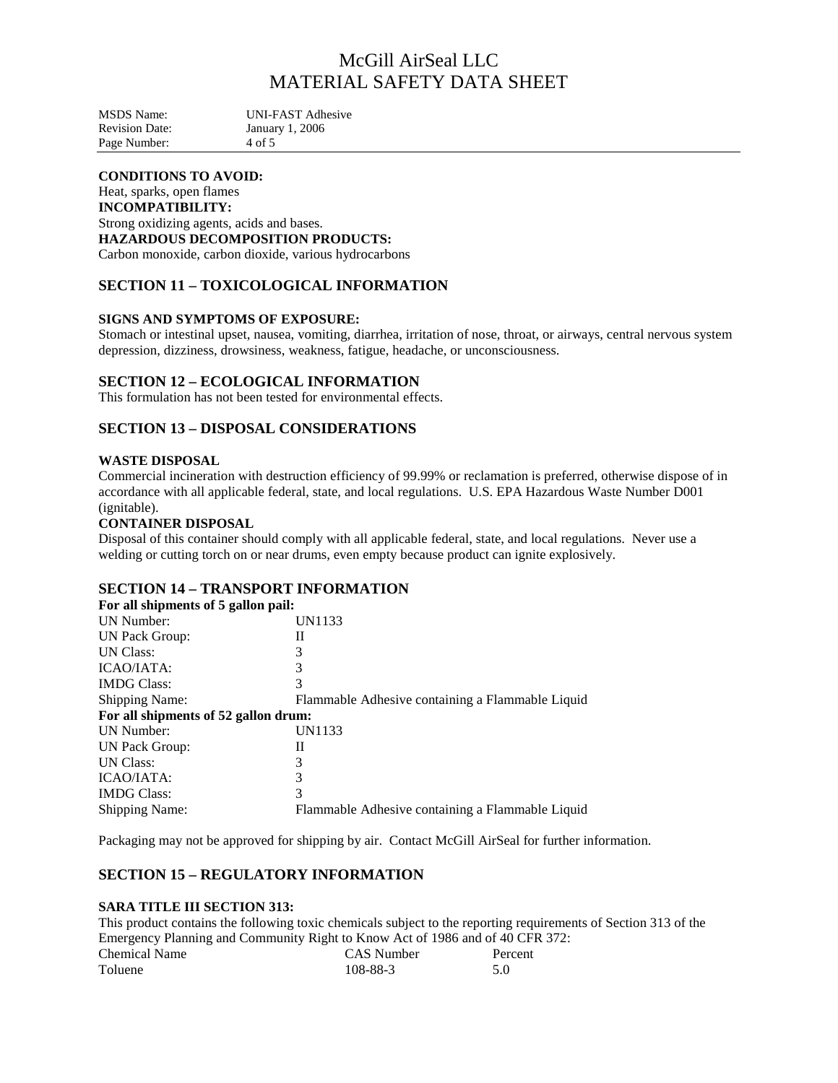MSDS Name: UNI-FAST Adhesive<br>Revision Date: January 1, 2006 January 1, 2006<br>4 of 5 Page Number:

# **CONDITIONS TO AVOID:**

Heat, sparks, open flames **INCOMPATIBILITY:**  Strong oxidizing agents, acids and bases. **HAZARDOUS DECOMPOSITION PRODUCTS:**  Carbon monoxide, carbon dioxide, various hydrocarbons

# **SECTION 11 – TOXICOLOGICAL INFORMATION**

## **SIGNS AND SYMPTOMS OF EXPOSURE:**

Stomach or intestinal upset, nausea, vomiting, diarrhea, irritation of nose, throat, or airways, central nervous system depression, dizziness, drowsiness, weakness, fatigue, headache, or unconsciousness.

#### **SECTION 12 – ECOLOGICAL INFORMATION**

This formulation has not been tested for environmental effects.

# **SECTION 13 – DISPOSAL CONSIDERATIONS**

#### **WASTE DISPOSAL**

Commercial incineration with destruction efficiency of 99.99% or reclamation is preferred, otherwise dispose of in accordance with all applicable federal, state, and local regulations. U.S. EPA Hazardous Waste Number D001 (ignitable).

#### **CONTAINER DISPOSAL**

Disposal of this container should comply with all applicable federal, state, and local regulations. Never use a welding or cutting torch on or near drums, even empty because product can ignite explosively.

## **SECTION 14 – TRANSPORT INFORMATION**

| For all shipments of 5 gallon pail:  |                                                  |
|--------------------------------------|--------------------------------------------------|
| <b>UN Number:</b>                    | UN1133                                           |
| UN Pack Group:                       | Н                                                |
| <b>UN Class:</b>                     | 3                                                |
| ICAO/IATA:                           | 3                                                |
| <b>IMDG Class:</b>                   | 3                                                |
| <b>Shipping Name:</b>                | Flammable Adhesive containing a Flammable Liquid |
| For all shipments of 52 gallon drum: |                                                  |
| <b>UN Number:</b>                    | UN1133                                           |
| UN Pack Group:                       | Н                                                |
| <b>UN Class:</b>                     | 3                                                |
| ICAO/IATA:                           | 3                                                |
| <b>IMDG Class:</b>                   | 3                                                |
| <b>Shipping Name:</b>                | Flammable Adhesive containing a Flammable Liquid |

Packaging may not be approved for shipping by air. Contact McGill AirSeal for further information.

# **SECTION 15 – REGULATORY INFORMATION**

#### **SARA TITLE III SECTION 313:**

This product contains the following toxic chemicals subject to the reporting requirements of Section 313 of the Emergency Planning and Community Right to Know Act of 1986 and of 40 CFR 372:

| <b>Chemical Name</b> |  |  | <b>CAS</b> Number | Percent |
|----------------------|--|--|-------------------|---------|
| Toluene              |  |  | 108-88-3          |         |